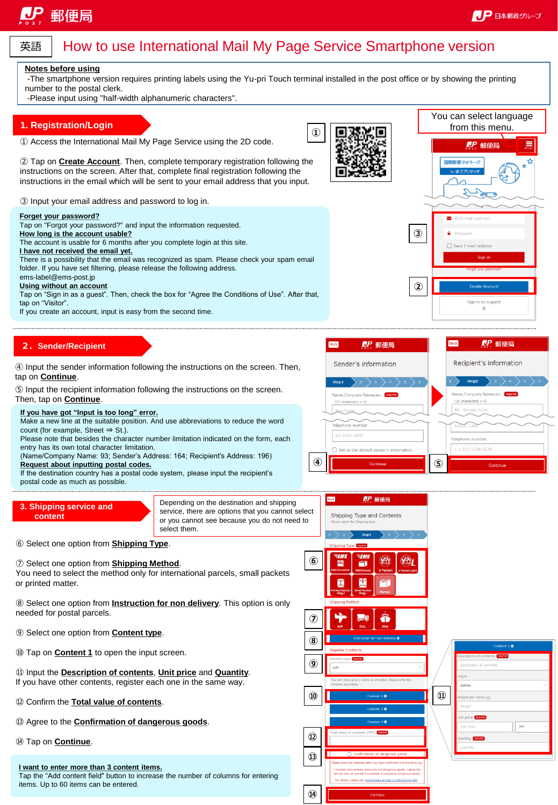You can select language from this menu.

**CP 郵便局** 

国際郵便マイページ λ  $\frac{1}{\sqrt{\frac{2}{n}}}$ Z



## How to use International Mail My Page Service Smartphone version

### **Notes before using**

-The smartphone version requires printing labels using the Yu-pri Touch terminal installed in the post office or by showing the printing number to the postal clerk.

**①**

-Please input using "half-width alphanumeric characters".

### **1. Registration/Login**

① Access the International Mail My Page Service using the 2D code.

② Tap on **Create Account**. Then, complete temporary registration following the instructions on the screen. After that, complete final registration following the instructions in the email which will be sent to your email address that you input.

③ Input your email address and password to log in.

**Forget your password?** Tap on "Forgot your password?" and input the information requested. **③ How long is the account usable?** The account is usable for 6 months after you complete login at this site. □ Save Furnail a **I have not received the email yet.** There is a possibility that the email was recognized as spam. Please check your spam email folder. If you have set filtering, please release the following address. ems-label@ems-post.jp **Using without an account ②** Tap on "Sign in as a guest". Then, check the box for "Agree the Conditions of Use". After that, tap on "Visitor". Sign in as a guest If you create an account, input is easy from the second time.

**2.Sender/Recipient**

④ Input the sender information following the instructions on the screen. Then, tap on **Continue**.

⑤ Input the recipient information following the instructions on the screen.

Then, tap on **Continue**.

### **If you have got "Input is too long" error.**

Make a new line at the suitable position. And use abbreviations to reduce the word count (for example, Street ⇒ St.).

Please note that besides the character number limitation indicated on the form, each entry has its own total character limitation.

(Name/Company Name: 93; Sender's Address: 164; Recipient's Address: 196) **Request about inputting postal codes.**

If the destination country has a postal code system, please input the recipient's postal code as much as possible.

**3. Shipping service and content**

Depending on the destination and shipping service, there are options that you cannot select or you cannot see because you do not need to select them.

⑥ Select one option from **Shipping Type**.

### ⑦ Select one option from **Shipping Method**.

You need to select the method only for international parcels, small packets or printed matter.

⑧ Select one option from **Instruction for non delivery**. This option is only needed for postal parcels.

- ⑨ Select one option from **Content type**.
- ⑩ Tap on **Content 1** to open the input screen.

⑪ Input the **Description of contents**, **Unit price** and **Quantity**. If you have other contents, register each one in the same way.

- ⑫ Confirm the **Total value of contents**.
- ⑬ Agree to the **Confirmation of dangerous goods**.
- ⑭ Tap on **Continue**.

### **I want to enter more than 3 content items.**

Tap the "Add content field" button to increase the number of columns for entering items. Up to 60 items can be entered.



**⑭**

| Content 1 ©                     |
|---------------------------------|
| Description of contents motival |
| Description of contents         |
| Origin                          |
| <b>JAPAN</b>                    |
| Weight per Piece (g)            |
| Weight                          |
| Unit price required             |
| JPY<br><b>Unit Price</b>        |
| Quantity required               |
| Quantity                        |
|                                 |